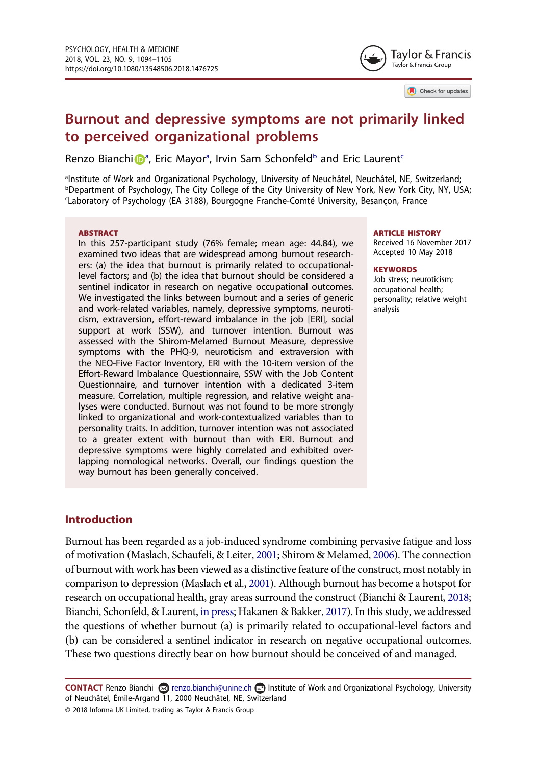

Check for updates

# Burnout and depressive symptoms are not primarily linked to perceived organizational problems

Renzo Bi[a](#page-0-0)nchi D<sup>a</sup>, Eric Mayor<sup>a</sup>, Irvin Sam Schonfeld<sup>b</sup> and Eric Laurent<sup>c</sup>

<span id="page-0-3"></span><span id="page-0-2"></span><span id="page-0-1"></span>a Institute of Work and Organizational Psychology, University of Neuchâtel, Neuchâtel, NE, Switzerland; **bDepartment of Psychology, The City College of the City University of New York, New York City, NY, USA**; Laboratory of Psychology (EA 3188), Bourgogne Franche-Comté University, Besançon, France

#### **ABSTRACT**

In this 257-participant study (76% female; mean age: 44.84), we examined two ideas that are widespread among burnout researchers: (a) the idea that burnout is primarily related to occupationallevel factors; and (b) the idea that burnout should be considered a sentinel indicator in research on negative occupational outcomes. We investigated the links between burnout and a series of generic and work-related variables, namely, depressive symptoms, neuroticism, extraversion, effort-reward imbalance in the job [ERI], social support at work (SSW), and turnover intention. Burnout was assessed with the Shirom-Melamed Burnout Measure, depressive symptoms with the PHQ-9, neuroticism and extraversion with the NEO-Five Factor Inventory, ERI with the 10-item version of the Effort-Reward Imbalance Questionnaire, SSW with the Job Content Questionnaire, and turnover intention with a dedicated 3-item measure. Correlation, multiple regression, and relative weight analyses were conducted. Burnout was not found to be more strongly linked to organizational and work-contextualized variables than to personality traits. In addition, turnover intention was not associated to a greater extent with burnout than with ERI. Burnout and depressive symptoms were highly correlated and exhibited overlapping nomological networks. Overall, our findings question the way burnout has been generally conceived.

#### ARTICLE HISTORY

Received 16 November 2017 Accepted 10 May 2018

#### **KEYWORDS**

Job stress; neuroticism; occupational health; personality; relative weight analysis

# Introduction

Burnout has been regarded as a job-induced syndrome combining pervasive fatigue and loss of motivation (Maslach, Schaufeli, & Leiter, 2001; Shirom & Melamed, 2006). The connection of burnout with work has been viewed as a distinctive feature of the construct, most notably in comparison to depression (Maslach et al., 2001). Although burnout has become a hotspot for research on occupational health, gray areas surround the construct (Bianchi & Laurent, 2018; Bianchi, Schonfeld, & Laurent, in press; Hakanen & Bakker, 2017). In this study, we addressed the questions of whether burnout (a) is primarily related to occupational-level factors and (b) can be considered a sentinel indicator in research on negative occupational outcomes. These two questions directly bear on how burnout should be conceived of and managed.

<span id="page-0-0"></span>CONTACT Renzo Bianchi **2** renzo.bianchi@unine.ch **Institute of Work and Organizational Psychology**, University of Neuchâtel, Émile-Argand 11, 2000 Neuchâtel, NE, Switzerland

© 2018 Informa UK Limited, trading as Taylor & Francis Group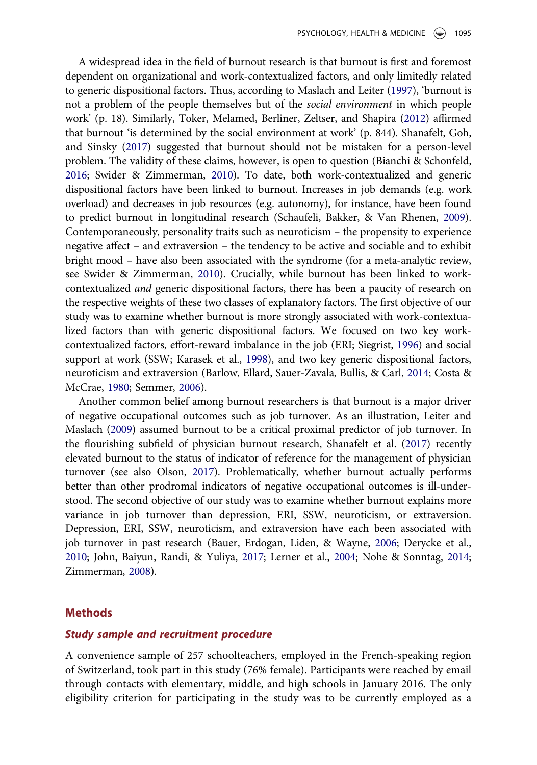A widespread idea in the field of burnout research is that burnout is first and foremost dependent on organizational and work-contextualized factors, and only limitedly related to generic dispositional factors. Thus, according to Maslach and Leiter (1997), 'burnout is not a problem of the people themselves but of the social environment in which people work' (p. 18). Similarly, Toker, Melamed, Berliner, Zeltser, and Shapira (2012) affirmed that burnout 'is determined by the social environment at work' (p. 844). Shanafelt, Goh, and Sinsky (2017) suggested that burnout should not be mistaken for a person-level problem. The validity of these claims, however, is open to question (Bianchi & Schonfeld, 2016; Swider & Zimmerman, 2010). To date, both work-contextualized and generic dispositional factors have been linked to burnout. Increases in job demands (e.g. work overload) and decreases in job resources (e.g. autonomy), for instance, have been found to predict burnout in longitudinal research (Schaufeli, Bakker, & Van Rhenen, 2009). Contemporaneously, personality traits such as neuroticism – the propensity to experience negative affect – and extraversion – the tendency to be active and sociable and to exhibit bright mood – have also been associated with the syndrome (for a meta-analytic review, see Swider & Zimmerman, 2010). Crucially, while burnout has been linked to workcontextualized and generic dispositional factors, there has been a paucity of research on the respective weights of these two classes of explanatory factors. The first objective of our study was to examine whether burnout is more strongly associated with work-contextualized factors than with generic dispositional factors. We focused on two key workcontextualized factors, effort-reward imbalance in the job (ERI; Siegrist, 1996) and social support at work (SSW; Karasek et al., 1998), and two key generic dispositional factors, neuroticism and extraversion (Barlow, Ellard, Sauer-Zavala, Bullis, & Carl, 2014; Costa & McCrae, 1980; Semmer, 2006).

Another common belief among burnout researchers is that burnout is a major driver of negative occupational outcomes such as job turnover. As an illustration, Leiter and Maslach (2009) assumed burnout to be a critical proximal predictor of job turnover. In the flourishing subfield of physician burnout research, Shanafelt et al. (2017) recently elevated burnout to the status of indicator of reference for the management of physician turnover (see also Olson, 2017). Problematically, whether burnout actually performs better than other prodromal indicators of negative occupational outcomes is ill-understood. The second objective of our study was to examine whether burnout explains more variance in job turnover than depression, ERI, SSW, neuroticism, or extraversion. Depression, ERI, SSW, neuroticism, and extraversion have each been associated with job turnover in past research (Bauer, Erdogan, Liden, & Wayne, 2006; Derycke et al., 2010; John, Baiyun, Randi, & Yuliya, 2017; Lerner et al., 2004; Nohe & Sonntag, 2014; Zimmerman, 2008).

# **Methods**

# Study sample and recruitment procedure

A convenience sample of 257 schoolteachers, employed in the French-speaking region of Switzerland, took part in this study (76% female). Participants were reached by email through contacts with elementary, middle, and high schools in January 2016. The only eligibility criterion for participating in the study was to be currently employed as a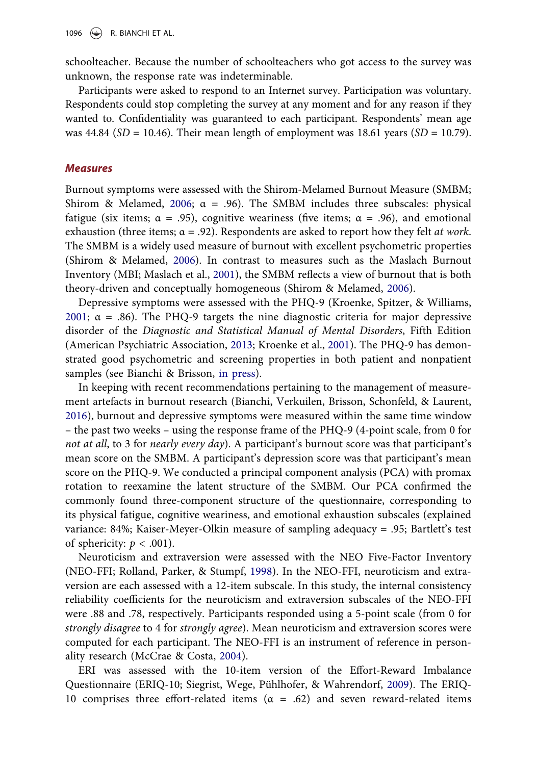1096  $\left(\rightarrow\right)$  R. BIANCHI ET AL.

schoolteacher. Because the number of schoolteachers who got access to the survey was unknown, the response rate was indeterminable.

Participants were asked to respond to an Internet survey. Participation was voluntary. Respondents could stop completing the survey at any moment and for any reason if they wanted to. Confidentiality was guaranteed to each participant. Respondents' mean age was 44.84 ( $SD = 10.46$ ). Their mean length of employment was 18.61 years ( $SD = 10.79$ ).

## **Measures**

Burnout symptoms were assessed with the Shirom-Melamed Burnout Measure (SMBM; Shirom & Melamed, 2006;  $\alpha = .96$ ). The SMBM includes three subscales: physical fatigue (six items;  $\alpha = .95$ ), cognitive weariness (five items;  $\alpha = .96$ ), and emotional exhaustion (three items;  $\alpha = .92$ ). Respondents are asked to report how they felt *at work*. The SMBM is a widely used measure of burnout with excellent psychometric properties (Shirom & Melamed, 2006). In contrast to measures such as the Maslach Burnout Inventory (MBI; Maslach et al., 2001), the SMBM reflects a view of burnout that is both theory-driven and conceptually homogeneous (Shirom & Melamed, 2006).

Depressive symptoms were assessed with the PHQ-9 (Kroenke, Spitzer, & Williams, 2001;  $\alpha = .86$ ). The PHQ-9 targets the nine diagnostic criteria for major depressive disorder of the Diagnostic and Statistical Manual of Mental Disorders, Fifth Edition (American Psychiatric Association, 2013; Kroenke et al., 2001). The PHQ-9 has demonstrated good psychometric and screening properties in both patient and nonpatient samples (see Bianchi & Brisson, in press).

In keeping with recent recommendations pertaining to the management of measurement artefacts in burnout research (Bianchi, Verkuilen, Brisson, Schonfeld, & Laurent, 2016), burnout and depressive symptoms were measured within the same time window – the past two weeks – using the response frame of the PHQ-9 (4-point scale, from 0 for not at all, to 3 for nearly every day). A participant's burnout score was that participant's mean score on the SMBM. A participant's depression score was that participant's mean score on the PHQ-9. We conducted a principal component analysis (PCA) with promax rotation to reexamine the latent structure of the SMBM. Our PCA confirmed the commonly found three-component structure of the questionnaire, corresponding to its physical fatigue, cognitive weariness, and emotional exhaustion subscales (explained variance: 84%; Kaiser-Meyer-Olkin measure of sampling adequacy = .95; Bartlett's test of sphericity:  $p < .001$ ).

Neuroticism and extraversion were assessed with the NEO Five-Factor Inventory (NEO-FFI; Rolland, Parker, & Stumpf, 1998). In the NEO-FFI, neuroticism and extraversion are each assessed with a 12-item subscale. In this study, the internal consistency reliability coefficients for the neuroticism and extraversion subscales of the NEO-FFI were .88 and .78, respectively. Participants responded using a 5-point scale (from 0 for strongly disagree to 4 for strongly agree). Mean neuroticism and extraversion scores were computed for each participant. The NEO-FFI is an instrument of reference in personality research (McCrae & Costa, 2004).

ERI was assessed with the 10-item version of the Effort-Reward Imbalance Questionnaire (ERIQ-10; Siegrist, Wege, Pühlhofer, & Wahrendorf, 2009). The ERIQ-10 comprises three effort-related items (α = .62) and seven reward-related items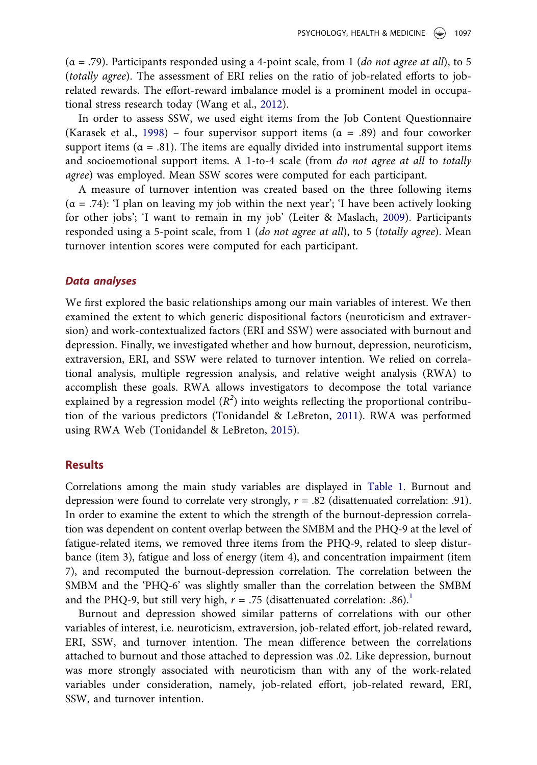$(\alpha = .79)$ . Participants responded using a 4-point scale, from 1 (*do not agree at all*), to 5 (totally agree). The assessment of ERI relies on the ratio of job-related efforts to jobrelated rewards. The effort-reward imbalance model is a prominent model in occupational stress research today (Wang et al., 2012).

In order to assess SSW, we used eight items from the Job Content Questionnaire (Karasek et al., 1998) – four supervisor support items ( $\alpha = .89$ ) and four coworker support items ( $\alpha = .81$ ). The items are equally divided into instrumental support items and socioemotional support items. A 1-to-4 scale (from do not agree at all to totally agree) was employed. Mean SSW scores were computed for each participant.

A measure of turnover intention was created based on the three following items  $(\alpha = .74)$ : 'I plan on leaving my job within the next year'; 'I have been actively looking for other jobs'; 'I want to remain in my job' (Leiter & Maslach, 2009). Participants responded using a 5-point scale, from 1 (do not agree at all), to 5 (totally agree). Mean turnover intention scores were computed for each participant.

## Data analyses

We first explored the basic relationships among our main variables of interest. We then examined the extent to which generic dispositional factors (neuroticism and extraversion) and work-contextualized factors (ERI and SSW) were associated with burnout and depression. Finally, we investigated whether and how burnout, depression, neuroticism, extraversion, ERI, and SSW were related to turnover intention. We relied on correlational analysis, multiple regression analysis, and relative weight analysis (RWA) to accomplish these goals. RWA allows investigators to decompose the total variance explained by a regression model  $(R^2)$  into weights reflecting the proportional contribution of the various predictors (Tonidandel & LeBreton, 2011). RWA was performed using RWA Web (Tonidandel & LeBreton, 2015).

# **Results**

Correlations among the main study variables are displayed in Table 1. Burnout and depression were found to correlate very strongly,  $r = .82$  (disattenuated correlation: .91). In order to examine the extent to which the strength of the burnout-depression correlation was dependent on content overlap between the SMBM and the PHQ-9 at the level of fatigue-related items, we removed three items from the PHQ-9, related to sleep disturbance (item 3), fatigue and loss of energy (item 4), and concentration impairment (item 7), and recomputed the burnout-depression correlation. The correlation between the SMBM and the 'PHQ-6' was slightly smaller than the correlation between the SMBM and the PHQ-9, but still very high,  $r = .75$  (disattenuated correlation: .86).<sup>1</sup>

Burnout and depression showed similar patterns of correlations with our other variables of interest, i.e. neuroticism, extraversion, job-related effort, job-related reward, ERI, SSW, and turnover intention. The mean difference between the correlations attached to burnout and those attached to depression was .02. Like depression, burnout was more strongly associated with neuroticism than with any of the work-related variables under consideration, namely, job-related effort, job-related reward, ERI, SSW, and turnover intention.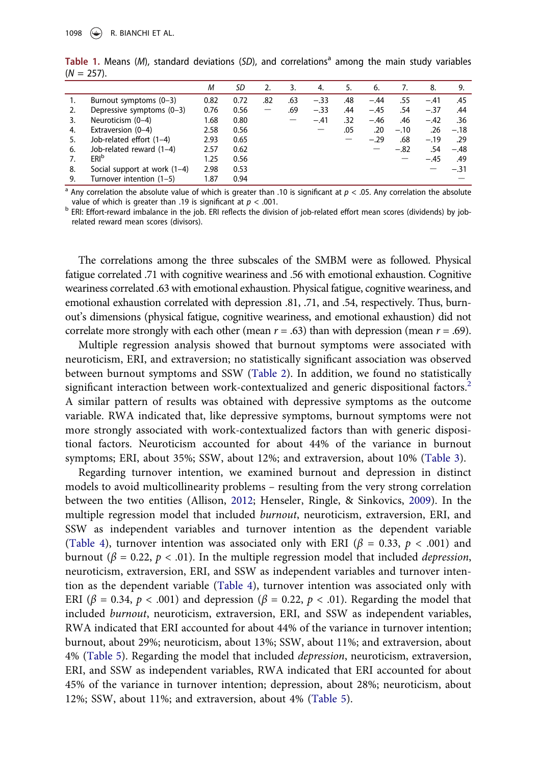|    |                                | M    | SD   | 2.  | 3.  | 4.     | 5.  | 6.     |        | 8.     | 9.     |
|----|--------------------------------|------|------|-----|-----|--------|-----|--------|--------|--------|--------|
|    | Burnout symptoms $(0-3)$       | 0.82 | 0.72 | .82 | .63 | $-.33$ | .48 | $-.44$ | .55    | $-.41$ | .45    |
| 2. | Depressive symptoms (0-3)      | 0.76 | 0.56 | —   | .69 | $-.33$ | .44 | $-.45$ | .54    | $-.37$ | .44    |
| 3. | Neuroticism (0-4)              | 1.68 | 0.80 |     |     | $-.41$ | .32 | $-.46$ | .46    | $-.42$ | .36    |
| 4. | Extraversion (0-4)             | 2.58 | 0.56 |     |     |        | .05 | .20    | $-.10$ | .26    | $-.18$ |
| 5. | Job-related effort (1-4)       | 2.93 | 0.65 |     |     |        |     | $-.29$ | .68    | $-.19$ | .29    |
| 6. | Job-related reward (1-4)       | 2.57 | 0.62 |     |     |        |     |        | $-.82$ | .54    | $-.48$ |
|    | <b>ERI</b> <sup>b</sup>        | 1.25 | 0.56 |     |     |        |     |        |        | $-.45$ | .49    |
| 8. | Social support at work $(1-4)$ | 2.98 | 0.53 |     |     |        |     |        |        |        | $-.31$ |
| 9. | Turnover intention (1–5)       | 1.87 | 0.94 |     |     |        |     |        |        |        |        |

Table 1. Means  $(M)$ , standard deviations  $(SD)$ , and correlations<sup>a</sup> among the main study variables  $(N = 257)$ .

<sup>a</sup> Any correlation the absolute value of which is greater than .10 is significant at  $p < .05$ . Any correlation the absolute

value of which is greater than .19 is significant at  $p < .001$ .<br><sup>b</sup> ERI: Effort-reward imbalance in the job. ERI reflects the division of job-related effort mean scores (dividends) by jobrelated reward mean scores (divisors).

The correlations among the three subscales of the SMBM were as followed. Physical fatigue correlated .71 with cognitive weariness and .56 with emotional exhaustion. Cognitive weariness correlated .63 with emotional exhaustion. Physical fatigue, cognitive weariness, and emotional exhaustion correlated with depression .81, .71, and .54, respectively. Thus, burnout's dimensions (physical fatigue, cognitive weariness, and emotional exhaustion) did not correlate more strongly with each other (mean  $r = .63$ ) than with depression (mean  $r = .69$ ).

Multiple regression analysis showed that burnout symptoms were associated with neuroticism, ERI, and extraversion; no statistically significant association was observed between burnout symptoms and SSW (Table 2). In addition, we found no statistically significant interaction between work-contextualized and generic dispositional factors.<sup>2</sup> A similar pattern of results was obtained with depressive symptoms as the outcome variable. RWA indicated that, like depressive symptoms, burnout symptoms were not more strongly associated with work-contextualized factors than with generic dispositional factors. Neuroticism accounted for about 44% of the variance in burnout symptoms; ERI, about 35%; SSW, about 12%; and extraversion, about 10% (Table 3).

Regarding turnover intention, we examined burnout and depression in distinct models to avoid multicollinearity problems – resulting from the very strong correlation between the two entities (Allison, 2012; Henseler, Ringle, & Sinkovics, 2009). In the multiple regression model that included burnout, neuroticism, extraversion, ERI, and SSW as independent variables and turnover intention as the dependent variable (Table 4), turnover intention was associated only with ERI ( $\beta$  = 0.33,  $p$  < .001) and burnout ( $\beta = 0.22$ ,  $p < .01$ ). In the multiple regression model that included *depression*, neuroticism, extraversion, ERI, and SSW as independent variables and turnover intention as the dependent variable (Table 4), turnover intention was associated only with ERI ( $\beta$  = 0.34,  $p < .001$ ) and depression ( $\beta$  = 0.22,  $p < .01$ ). Regarding the model that included burnout, neuroticism, extraversion, ERI, and SSW as independent variables, RWA indicated that ERI accounted for about 44% of the variance in turnover intention; burnout, about 29%; neuroticism, about 13%; SSW, about 11%; and extraversion, about 4% (Table 5). Regarding the model that included depression, neuroticism, extraversion, ERI, and SSW as independent variables, RWA indicated that ERI accounted for about 45% of the variance in turnover intention; depression, about 28%; neuroticism, about 12%; SSW, about 11%; and extraversion, about 4% (Table 5).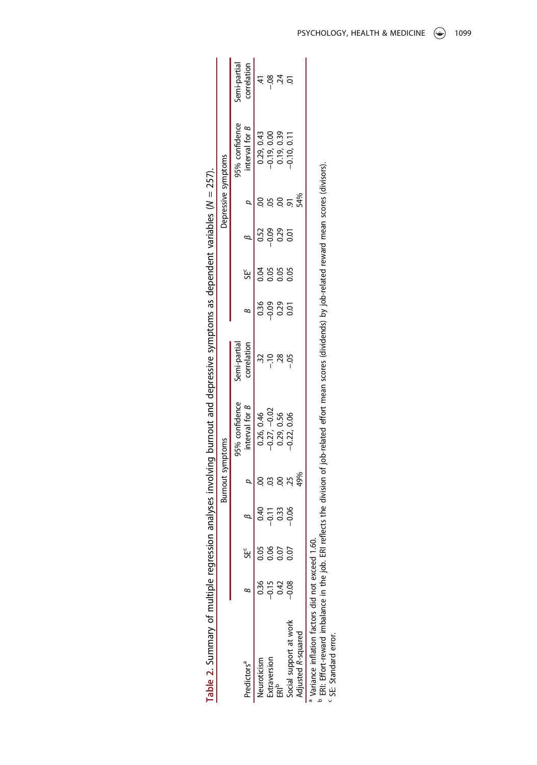|                                                |         |      |        | <b>Burnout symptoms</b> |                                    |                            |                          |             |                                  |            | Depressive symptoms                          |                             |
|------------------------------------------------|---------|------|--------|-------------------------|------------------------------------|----------------------------|--------------------------|-------------|----------------------------------|------------|----------------------------------------------|-----------------------------|
| Predictors <sup>a</sup>                        | ∞       | ç۴   |        |                         | 95% confidence<br>interval for $B$ | orrelation<br>Semi-partial |                          | š           |                                  |            | 95% confidence<br>interval for $B$           | Semi-partial<br>correlation |
|                                                |         |      |        |                         |                                    |                            |                          |             |                                  |            |                                              |                             |
| leuroticism                                    |         |      |        |                         | 0.26, 0.46                         |                            |                          |             |                                  |            | 0.29, 0.43                                   |                             |
| Extraversion                                   | $-0.15$ | 90.C |        | ខុឌខុ                   | $-0.27, -0.02$<br>0.29, 0.56       | $\frac{1}{10}$             | မှ ၁ ၁<br>၁ ၁ ၁<br>၁ ၁ ၁ | ತ್ತ ಶ್ವ ಶ್ವ |                                  |            |                                              |                             |
|                                                | 0.42    | 0.07 | 677380 |                         |                                    | 28.                        |                          |             | នី ខ្ញុំ<br>ដូ ខ្ញុំ ខ្ញុំ ខ្ញុំ | ង្គុ នុ ឆ្ | $-0.19, 0.00$<br>0.19, 0.39<br>$-0.10, 0.11$ | នុ ។<br>-                   |
| Social support at work                         |         | 0.07 |        | 25                      | $-0.22, 0.06$                      | $-0.5$                     | 0.01                     | 0.05        |                                  |            |                                              |                             |
| djusted R-squared                              |         |      |        | 49%                     |                                    |                            |                          |             |                                  | 54%        |                                              |                             |
| Variance inflation factors did not exceed 1.60 |         |      |        |                         |                                    |                            |                          |             |                                  |            |                                              |                             |

| ׃<br>ì                   |
|--------------------------|
| $\mathsf{I}$             |
| l                        |
| ļ                        |
|                          |
|                          |
| ֚֘֝                      |
|                          |
|                          |
| $\overline{\phantom{a}}$ |
| ً<br>،<br>l              |
|                          |
|                          |
| ă<br>i<br>i<br>d<br>I    |

 $\circ$ ERI: Effort-reward imbalance in the job. ERI reflects the division of job-related effort mean scores (dividends) by job-related reward mean scores (divisors).

SE: Standard error.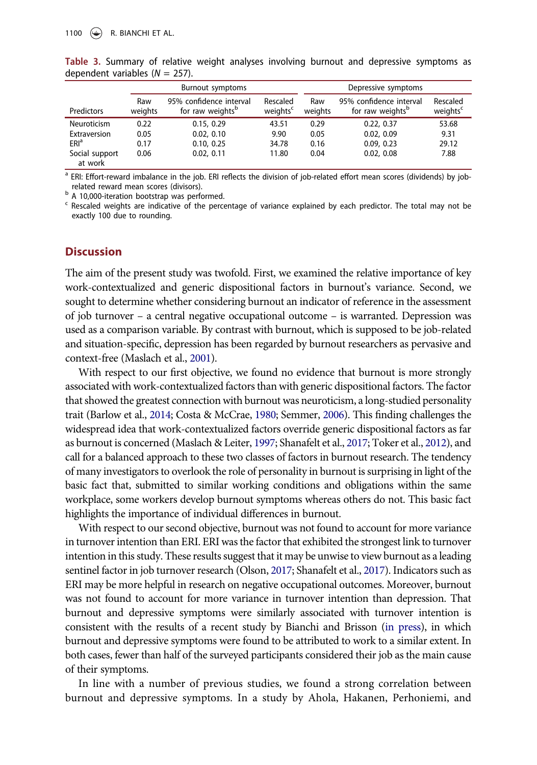|                           |                | Burnout symptoms                                        |                                  |                | Depressive symptoms                                     |                                  |
|---------------------------|----------------|---------------------------------------------------------|----------------------------------|----------------|---------------------------------------------------------|----------------------------------|
| Predictors                | Raw<br>weights | 95% confidence interval<br>for raw weights <sup>b</sup> | Rescaled<br>weights <sup>c</sup> | Raw<br>weights | 95% confidence interval<br>for raw weights <sup>b</sup> | Rescaled<br>weights <sup>c</sup> |
| Neuroticism               | 0.22           | 0.15, 0.29                                              | 43.51                            | 0.29           | 0.22, 0.37                                              | 53.68                            |
| Extraversion              | 0.05           | 0.02, 0.10                                              | 9.90                             | 0.05           | 0.02, 0.09                                              | 9.31                             |
| <b>ERI</b> <sup>a</sup>   | 0.17           | 0.10, 0.25                                              | 34.78                            | 0.16           | 0.09, 0.23                                              | 29.12                            |
| Social support<br>at work | 0.06           | 0.02, 0.11                                              | 11.80                            | 0.04           | 0.02, 0.08                                              | 7.88                             |

Table 3. Summary of relative weight analyses involving burnout and depressive symptoms as dependent variables ( $N = 257$ ).

 $\frac{a}{b}$  ERI: Effort-reward imbalance in the job. ERI reflects the division of job-related effort mean scores (dividends) by job-<br>related reward mean scores (divisors).

related reward mean scores (divisors). b A 10,000-iteration bootstrap was performed.<br>
E A 10,000-iteration bootstrap was performed.<br>
E Rescaled weights are indicative of the percentage of variance explained by each predict exactly 100 due to rounding.

#### **Discussion**

The aim of the present study was twofold. First, we examined the relative importance of key work-contextualized and generic dispositional factors in burnout's variance. Second, we sought to determine whether considering burnout an indicator of reference in the assessment of job turnover – a central negative occupational outcome – is warranted. Depression was used as a comparison variable. By contrast with burnout, which is supposed to be job-related and situation-specific, depression has been regarded by burnout researchers as pervasive and context-free (Maslach et al., 2001).

With respect to our first objective, we found no evidence that burnout is more strongly associated with work-contextualized factors thanwith generic dispositional factors. The factor that showed the greatest connection with burnout was neuroticism, a long-studied personality trait (Barlow et al., 2014; Costa & McCrae, 1980; Semmer, 2006). This finding challenges the widespread idea that work-contextualized factors override generic dispositional factors as far as burnout is concerned (Maslach & Leiter, 1997; Shanafelt et al., 2017; Toker et al., 2012), and call for a balanced approach to these two classes of factors in burnout research. The tendency of many investigators to overlook the role of personality in burnout is surprising in light of the basic fact that, submitted to similar working conditions and obligations within the same workplace, some workers develop burnout symptoms whereas others do not. This basic fact highlights the importance of individual differences in burnout.

With respect to our second objective, burnout was not found to account for more variance in turnover intention than ERI. ERI was the factor that exhibited the strongest link to turnover intention in this study. These results suggest that it may be unwise to view burnout as a leading sentinel factor in job turnover research (Olson, 2017; Shanafelt et al., 2017). Indicators such as ERI may be more helpful in research on negative occupational outcomes. Moreover, burnout was not found to account for more variance in turnover intention than depression. That burnout and depressive symptoms were similarly associated with turnover intention is consistent with the results of a recent study by Bianchi and Brisson (in press), in which burnout and depressive symptoms were found to be attributed to work to a similar extent. In both cases, fewer than half of the surveyed participants considered their job as the main cause of their symptoms.

In line with a number of previous studies, we found a strong correlation between burnout and depressive symptoms. In a study by Ahola, Hakanen, Perhoniemi, and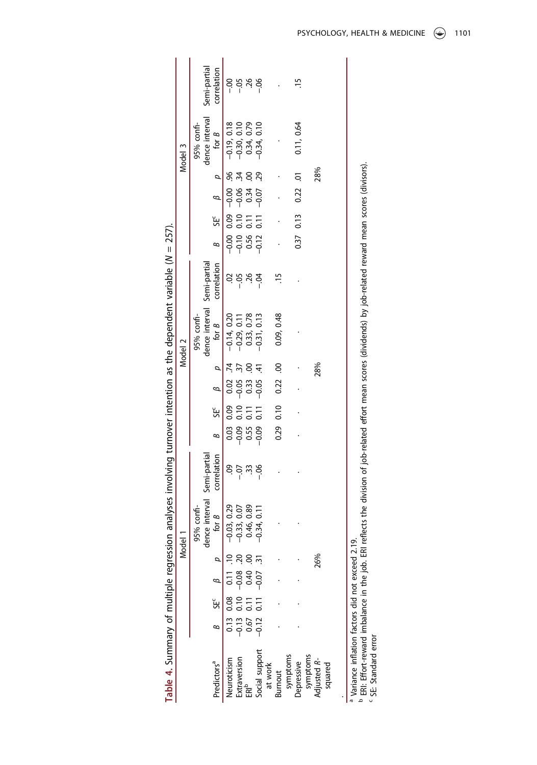|                                                             |          |                |                   | oo<br>⊠        | .<br>ق        |              |         |                    |                    |                 | Model 2                                                          |                            |         |                    |                                                     | Model 3                                                         |              |
|-------------------------------------------------------------|----------|----------------|-------------------|----------------|---------------|--------------|---------|--------------------|--------------------|-----------------|------------------------------------------------------------------|----------------------------|---------|--------------------|-----------------------------------------------------|-----------------------------------------------------------------|--------------|
|                                                             |          |                |                   |                | 95% confi-    |              |         |                    |                    |                 | 95% confi-                                                       |                            |         |                    |                                                     | 95% confi-                                                      |              |
|                                                             |          |                |                   |                | ence interval | Semi-partial |         |                    |                    |                 | dence interval Semi-partial                                      |                            |         |                    |                                                     | dence interval                                                  | Semi-partial |
| Predictors <sup>a</sup>                                     | B        | ម្ហិ           | $\beta$           |                | for $B$       | correlation  | $\beta$ | SE <sup>c</sup>    | $\beta$            | $\overline{p}$  | for $\beta$                                                      | correlation                | $\beta$ | š                  | $\overline{a}$<br>$\beta$                           | for $B$                                                         | correlation  |
| leuroticism                                                 | 0.13     | 0.08           | $\overline{0.11}$ |                | $-0.03, 0.29$ |              |         | 0.09               | 0.02               | $\ddot{z}$      |                                                                  |                            |         | 0.09               |                                                     |                                                                 |              |
| xtraversion                                                 | $-0.13$  | 0.10           | $-0.08$           | $\overline{5}$ | $-0.33, 0.07$ |              |         | 0.10               | $-0.33$<br>$-0.35$ | $\overline{37}$ | $-0.14$ , 0.20<br>$-0.29$ , 0.11<br>0.33, 0.78<br>$-0.31$ , 0.13 | ខ្ទុំ ខ្ញុំ ខ្ញុំ<br>ខ្ញុំ |         | $0.10$<br>$0.11$   | $-0.00$<br>$-0.34$<br>$-0.34$<br>$-0.07$<br>$-0.07$ | $-0.19, 0.18$<br>$-0.30, 0.10$<br>$0.34, 0.79$<br>$-0.34, 0.10$ |              |
| ERIP                                                        | $0.67$ . |                | 0.40              | S.             | 0.46, 0.89    |              |         | 0.11               |                    | $\mathcal{S}$   |                                                                  |                            |         |                    |                                                     |                                                                 |              |
| Social support                                              | $-0.12$  | $\overline{5}$ | $-0.07$           |                | $-0.34, 0.11$ |              |         | $\overline{0}$ .11 |                    | $\dot{+}$       |                                                                  |                            |         | $\overline{0}$ .11 |                                                     |                                                                 |              |
| at work                                                     |          |                |                   |                |               |              |         |                    |                    |                 |                                                                  |                            |         |                    |                                                     |                                                                 |              |
| Burnout                                                     |          |                |                   |                |               |              | 0.29    | 0.10               | $0.22 - 00$        |                 | 0.09, 0.48                                                       |                            |         |                    |                                                     |                                                                 |              |
| symptoms                                                    |          |                |                   |                |               |              |         |                    |                    |                 |                                                                  |                            |         |                    |                                                     |                                                                 |              |
| Depressive                                                  |          |                |                   |                |               |              |         |                    |                    |                 |                                                                  |                            | 0.37    | 0.13               | ā<br>0.22                                           | 0.11, 0.64                                                      |              |
| symptoms                                                    |          |                |                   |                |               |              |         |                    |                    |                 |                                                                  |                            |         |                    |                                                     |                                                                 |              |
| Adjusted R-                                                 |          |                |                   | 26%            |               |              |         |                    |                    | 28%             |                                                                  |                            |         |                    |                                                     | 28%                                                             |              |
| squared                                                     |          |                |                   |                |               |              |         |                    |                    |                 |                                                                  |                            |         |                    |                                                     |                                                                 |              |
|                                                             |          |                |                   |                |               |              |         |                    |                    |                 |                                                                  |                            |         |                    |                                                     |                                                                 |              |
| <sup>a</sup> Variance inflation factors did not exceed 2.19 |          |                |                   |                |               |              |         |                    |                    |                 |                                                                  |                            |         |                    |                                                     |                                                                 |              |

Table 4. Summary of multiple regression analyses involving turnover intention as the dependent variable  $(N = 257)$ . Table 4. Summary of multiple regression analyses involving turnover intention as the dependent variable (N = 257).

 $\circ$  ERI: Effort-reward imbalance in the job. ERI reflects the division of job-related effort mean scores (dividends) by job-related reward mean scores (divisors). SE: Standard error

PSYCHOLOGY, HEALTH & MEDICINE (+) 1101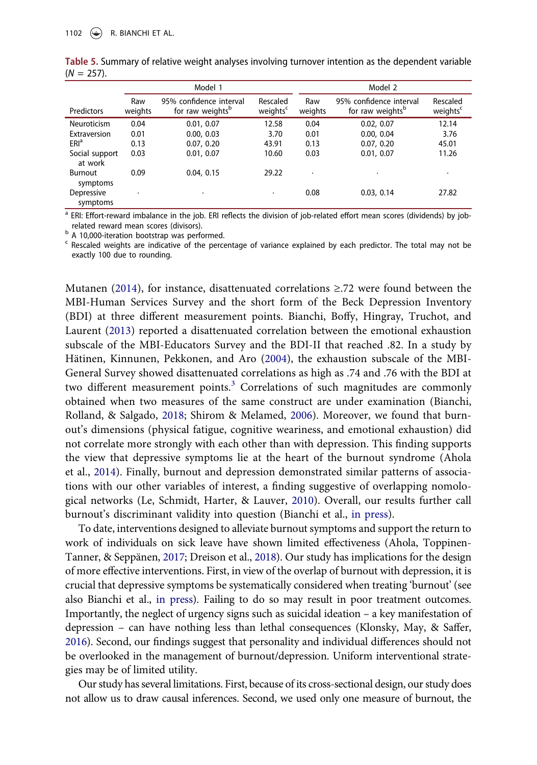|                            |                | Model 1                                                 |                                  |                | Model 2                                                 |                                  |
|----------------------------|----------------|---------------------------------------------------------|----------------------------------|----------------|---------------------------------------------------------|----------------------------------|
| Predictors                 | Raw<br>weights | 95% confidence interval<br>for raw weights <sup>b</sup> | Rescaled<br>weights <sup>c</sup> | Raw<br>weights | 95% confidence interval<br>for raw weights <sup>b</sup> | Rescaled<br>weights <sup>c</sup> |
| Neuroticism                | 0.04           | 0.01, 0.07                                              | 12.58                            | 0.04           | 0.02, 0.07                                              | 12.14                            |
| Extraversion               | 0.01           | 0.00, 0.03                                              | 3.70                             | 0.01           | 0.00, 0.04                                              | 3.76                             |
| ERI <sup>a</sup>           | 0.13           | 0.07, 0.20                                              | 43.91                            | 0.13           | 0.07, 0.20                                              | 45.01                            |
| Social support<br>at work  | 0.03           | 0.01, 0.07                                              | 10.60                            | 0.03           | 0.01, 0.07                                              | 11.26                            |
| <b>Burnout</b><br>symptoms | 0.09           | 0.04, 0.15                                              | 29.22                            | ٠              | ٠                                                       | ٠                                |
| Depressive<br>symptoms     | $\cdot$        | ٠                                                       | $\bullet$                        | 0.08           | 0.03, 0.14                                              | 27.82                            |

Table 5. Summary of relative weight analyses involving turnover intention as the dependent variable  $(N = 257)$ .

<sup>a</sup> ERI: Effort-reward imbalance in the job. ERI reflects the division of job-related effort mean scores (dividends) by job-<br>related reward mean scores (divisors).<br><sup>b</sup> A 10,000-iteration bootstrap was performed.

 $c$  Rescaled weights are indicative of the percentage of variance explained by each predictor. The total may not be exactly 100 due to rounding.

Mutanen (2014), for instance, disattenuated correlations  $\geq$ .72 were found between the MBI-Human Services Survey and the short form of the Beck Depression Inventory (BDI) at three different measurement points. Bianchi, Boffy, Hingray, Truchot, and Laurent (2013) reported a disattenuated correlation between the emotional exhaustion subscale of the MBI-Educators Survey and the BDI-II that reached .82. In a study by Hätinen, Kinnunen, Pekkonen, and Aro (2004), the exhaustion subscale of the MBI-General Survey showed disattenuated correlations as high as .74 and .76 with the BDI at two different measurement points.<sup>3</sup> Correlations of such magnitudes are commonly obtained when two measures of the same construct are under examination (Bianchi, Rolland, & Salgado, 2018; Shirom & Melamed, 2006). Moreover, we found that burnout's dimensions (physical fatigue, cognitive weariness, and emotional exhaustion) did not correlate more strongly with each other than with depression. This finding supports the view that depressive symptoms lie at the heart of the burnout syndrome (Ahola et al., 2014). Finally, burnout and depression demonstrated similar patterns of associations with our other variables of interest, a finding suggestive of overlapping nomological networks (Le, Schmidt, Harter, & Lauver, 2010). Overall, our results further call burnout's discriminant validity into question (Bianchi et al., in press).

To date, interventions designed to alleviate burnout symptoms and support the return to work of individuals on sick leave have shown limited effectiveness (Ahola, Toppinen-Tanner, & Seppänen, 2017; Dreison et al., 2018). Our study has implications for the design of more effective interventions. First, in view of the overlap of burnout with depression, it is crucial that depressive symptoms be systematically considered when treating 'burnout' (see also Bianchi et al., in press). Failing to do so may result in poor treatment outcomes. Importantly, the neglect of urgency signs such as suicidal ideation – a key manifestation of depression – can have nothing less than lethal consequences (Klonsky, May, & Saffer, 2016). Second, our findings suggest that personality and individual differences should not be overlooked in the management of burnout/depression. Uniform interventional strategies may be of limited utility.

Our study has several limitations. First, because of its cross-sectional design, our study does not allow us to draw causal inferences. Second, we used only one measure of burnout, the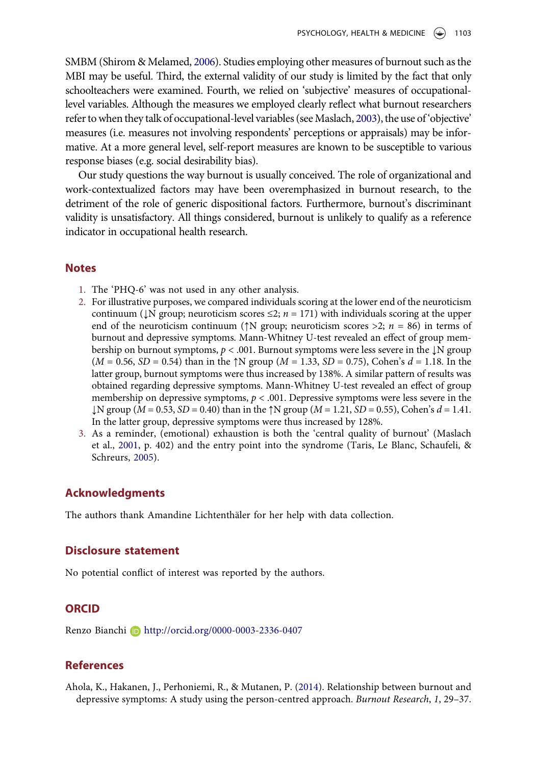SMBM (Shirom & Melamed, 2006). Studies employing other measures of burnout such as the MBI may be useful. Third, the external validity of our study is limited by the fact that only schoolteachers were examined. Fourth, we relied on 'subjective' measures of occupationallevel variables. Although the measures we employed clearly reflect what burnout researchers refer to when they talk of occupational-level variables (seeMaslach, 2003), the use of 'objective' measures (i.e. measures not involving respondents' perceptions or appraisals) may be informative. At a more general level, self-report measures are known to be susceptible to various response biases (e.g. social desirability bias).

Our study questions the way burnout is usually conceived. The role of organizational and work-contextualized factors may have been overemphasized in burnout research, to the detriment of the role of generic dispositional factors. Furthermore, burnout's discriminant validity is unsatisfactory. All things considered, burnout is unlikely to qualify as a reference indicator in occupational health research.

#### **Notes**

- 1. The 'PHQ-6' was not used in any other analysis.
- 2. For illustrative purposes, we compared individuals scoring at the lower end of the neuroticism continuum (↓N group; neuroticism scores  $\leq 2$ ;  $n = 171$ ) with individuals scoring at the upper end of the neuroticism continuum ( $\uparrow$ N group; neuroticism scores >2; *n* = 86) in terms of burnout and depressive symptoms. Mann-Whitney U-test revealed an effect of group membership on burnout symptoms,  $p < .001$ . Burnout symptoms were less severe in the  $\downarrow$ N group  $(M = 0.56, SD = 0.54)$  than in the  $\uparrow$ N group  $(M = 1.33, SD = 0.75)$ , Cohen's  $d = 1.18$ . In the latter group, burnout symptoms were thus increased by 138%. A similar pattern of results was obtained regarding depressive symptoms. Mann-Whitney U-test revealed an effect of group membership on depressive symptoms,  $p < .001$ . Depressive symptoms were less severe in the  $\downarrow$ N group (*M* = 0.53, *SD* = 0.40) than in the  $\uparrow$ N group (*M* = 1.21, *SD* = 0.55), Cohen's *d* = 1.41. In the latter group, depressive symptoms were thus increased by 128%.
- 3. As a reminder, (emotional) exhaustion is both the 'central quality of burnout' (Maslach et al., 2001, p. 402) and the entry point into the syndrome (Taris, Le Blanc, Schaufeli, & Schreurs, 2005).

# Acknowledgments

The authors thank Amandine Lichtenthäler for her help with data collection.

# Disclosure statement

No potential conflict of interest was reported by the authors.

### ORCID

Renzo Bianchi Dhttp://orcid.org/0000-0003-2336-0407

# References

Ahola, K., Hakanen, J., Perhoniemi, R., & Mutanen, P. (2014). Relationship between burnout and depressive symptoms: A study using the person-centred approach. Burnout Research, 1, 29–37.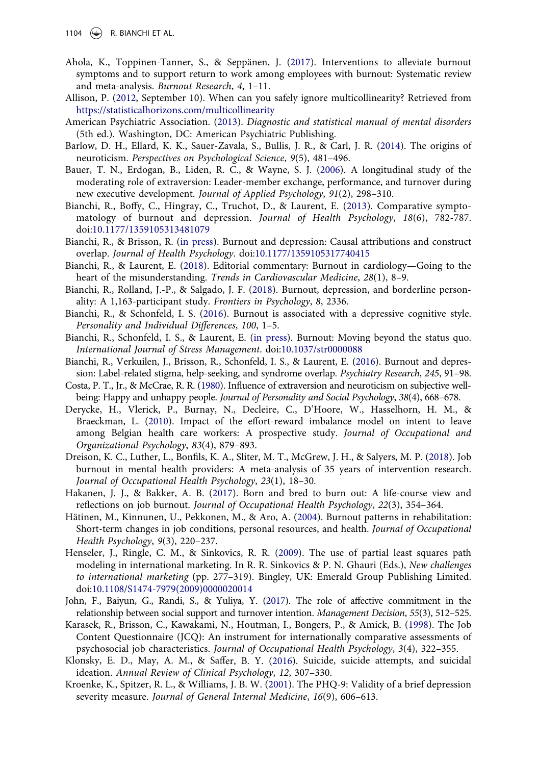1104  $\left(\frac{1}{2}\right)$  R. BIANCHI ET AL.

- Ahola, K., Toppinen-Tanner, S., & Seppänen, J. (2017). Interventions to alleviate burnout symptoms and to support return to work among employees with burnout: Systematic review and meta-analysis. Burnout Research, 4, 1–11.
- Allison, P. (2012, September 10). When can you safely ignore multicollinearity? Retrieved from <https://statisticalhorizons.com/multicollinearity>
- American Psychiatric Association. (2013). Diagnostic and statistical manual of mental disorders (5th ed.). Washington, DC: American Psychiatric Publishing.
- Barlow, D. H., Ellard, K. K., Sauer-Zavala, S., Bullis, J. R., & Carl, J. R. (2014). The origins of neuroticism. Perspectives on Psychological Science, 9(5), 481–496.
- Bauer, T. N., Erdogan, B., Liden, R. C., & Wayne, S. J. (2006). A longitudinal study of the moderating role of extraversion: Leader-member exchange, performance, and turnover during new executive development. Journal of Applied Psychology, 91(2), 298–310.
- Bianchi, R., Boffy, C., Hingray, C., Truchot, D., & Laurent, E. (2013). Comparative symptomatology of burnout and depression. Journal of Health Psychology, 18(6), 782-787. doi:[10.1177/1359105313481079](https://doi.org/10.1177/1359105313481079)
- Bianchi, R., & Brisson, R. (in press). Burnout and depression: Causal attributions and construct overlap. Journal of Health Psychology. doi:[10.1177/1359105317740415](https://doi.org/10.1177/1359105317740415)
- Bianchi, R., & Laurent, E. (2018). Editorial commentary: Burnout in cardiology—Going to the heart of the misunderstanding. Trends in Cardiovascular Medicine, 28(1), 8-9.
- Bianchi, R., Rolland, J.-P., & Salgado, J. F. (2018). Burnout, depression, and borderline personality: A 1,163-participant study. Frontiers in Psychology, 8, 2336.
- Bianchi, R., & Schonfeld, I. S. (2016). Burnout is associated with a depressive cognitive style. Personality and Individual Differences, 100, 1–5.
- Bianchi, R., Schonfeld, I. S., & Laurent, E. (in press). Burnout: Moving beyond the status quo. International Journal of Stress Management. doi:[10.1037/str0000088](https://doi.org/10.1037/str0000088)
- Bianchi, R., Verkuilen, J., Brisson, R., Schonfeld, I. S., & Laurent, E. (2016). Burnout and depression: Label-related stigma, help-seeking, and syndrome overlap. Psychiatry Research, 245, 91-98.
- Costa, P. T., Jr., & McCrae, R. R. (1980). Influence of extraversion and neuroticism on subjective wellbeing: Happy and unhappy people. Journal of Personality and Social Psychology, 38(4), 668–678.
- Derycke, H., Vlerick, P., Burnay, N., Decleire, C., D'Hoore, W., Hasselhorn, H. M., & Braeckman, L. (2010). Impact of the effort-reward imbalance model on intent to leave among Belgian health care workers: A prospective study. Journal of Occupational and Organizational Psychology, 83(4), 879–893.
- Dreison, K. C., Luther, L., Bonfils, K. A., Sliter, M. T., McGrew, J. H., & Salyers, M. P. (2018). Job burnout in mental health providers: A meta-analysis of 35 years of intervention research. Journal of Occupational Health Psychology, 23(1), 18–30.
- Hakanen, J. J., & Bakker, A. B. (2017). Born and bred to burn out: A life-course view and reflections on job burnout. Journal of Occupational Health Psychology, 22(3), 354-364.
- Hätinen, M., Kinnunen, U., Pekkonen, M., & Aro, A. (2004). Burnout patterns in rehabilitation: Short-term changes in job conditions, personal resources, and health. Journal of Occupational Health Psychology, 9(3), 220–237.
- Henseler, J., Ringle, C. M., & Sinkovics, R. R. (2009). The use of partial least squares path modeling in international marketing. In R. R. Sinkovics & P. N. Ghauri (Eds.), New challenges to international marketing (pp. 277-319). Bingley, UK: Emerald Group Publishing Limited. doi:[10.1108/S1474-7979\(2009\)0000020014](https://doi.org/10.1108/S1474-7979(2009)0000020014)
- John, F., Baiyun, G., Randi, S., & Yuliya, Y. (2017). The role of affective commitment in the relationship between social support and turnover intention. Management Decision, 55(3), 512-525.
- Karasek, R., Brisson, C., Kawakami, N., Houtman, I., Bongers, P., & Amick, B. (1998). The Job Content Questionnaire (JCQ): An instrument for internationally comparative assessments of psychosocial job characteristics. Journal of Occupational Health Psychology, 3(4), 322–355.
- Klonsky, E. D., May, A. M., & Saffer, B. Y. (2016). Suicide, suicide attempts, and suicidal ideation. Annual Review of Clinical Psychology, 12, 307–330.
- Kroenke, K., Spitzer, R. L., & Williams, J. B. W. (2001). The PHQ-9: Validity of a brief depression severity measure. Journal of General Internal Medicine, 16(9), 606–613.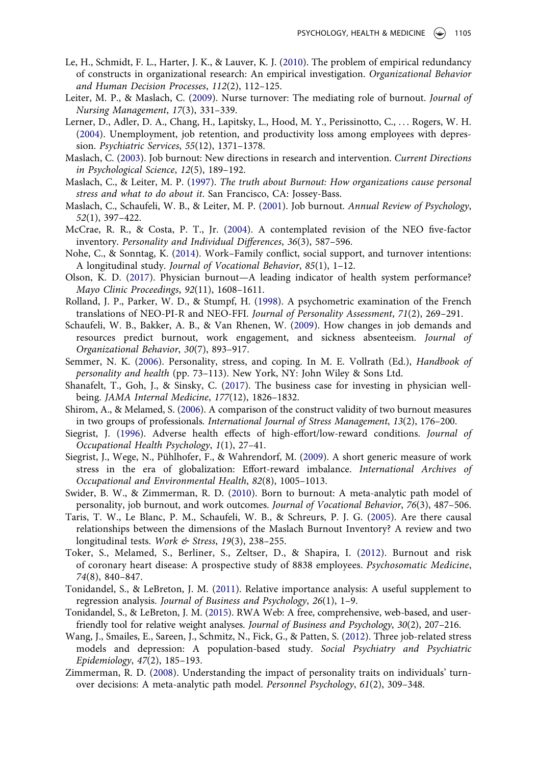- Le, H., Schmidt, F. L., Harter, J. K., & Lauver, K. J. (2010). The problem of empirical redundancy of constructs in organizational research: An empirical investigation. Organizational Behavior and Human Decision Processes, 112(2), 112–125.
- Leiter, M. P., & Maslach, C. (2009). Nurse turnover: The mediating role of burnout. *Journal of* Nursing Management, 17(3), 331–339.
- Lerner, D., Adler, D. A., Chang, H., Lapitsky, L., Hood, M. Y., Perissinotto, C., . . . Rogers, W. H. (2004). Unemployment, job retention, and productivity loss among employees with depression. Psychiatric Services, 55(12), 1371–1378.
- Maslach, C. (2003). Job burnout: New directions in research and intervention. Current Directions in Psychological Science, 12(5), 189–192.
- Maslach, C., & Leiter, M. P. (1997). The truth about Burnout: How organizations cause personal stress and what to do about it. San Francisco, CA: Jossey-Bass.
- Maslach, C., Schaufeli, W. B., & Leiter, M. P. (2001). Job burnout. Annual Review of Psychology, 52(1), 397–422.
- McCrae, R. R., & Costa, P. T., Jr. (2004). A contemplated revision of the NEO five-factor inventory. Personality and Individual Differences, 36(3), 587–596.
- Nohe, C., & Sonntag, K. (2014). Work–Family conflict, social support, and turnover intentions: A longitudinal study. Journal of Vocational Behavior, 85(1), 1–12.
- Olson, K. D. (2017). Physician burnout—A leading indicator of health system performance? Mayo Clinic Proceedings, 92(11), 1608–1611.
- Rolland, J. P., Parker, W. D., & Stumpf, H. (1998). A psychometric examination of the French translations of NEO-PI-R and NEO-FFI. Journal of Personality Assessment, 71(2), 269–291.
- Schaufeli, W. B., Bakker, A. B., & Van Rhenen, W. (2009). How changes in job demands and resources predict burnout, work engagement, and sickness absenteeism. Journal of Organizational Behavior, 30(7), 893–917.
- Semmer, N. K. (2006). Personality, stress, and coping. In M. E. Vollrath (Ed.), *Handbook of* personality and health (pp. 73–113). New York, NY: John Wiley & Sons Ltd.
- Shanafelt, T., Goh, J., & Sinsky, C. (2017). The business case for investing in physician wellbeing. JAMA Internal Medicine, 177(12), 1826–1832.
- Shirom, A., & Melamed, S. (2006). A comparison of the construct validity of two burnout measures in two groups of professionals. International Journal of Stress Management, 13(2), 176–200.
- Siegrist, J. (1996). Adverse health effects of high-effort/low-reward conditions. Journal of Occupational Health Psychology, 1(1), 27–41.
- Siegrist, J., Wege, N., Pühlhofer, F., & Wahrendorf, M. (2009). A short generic measure of work stress in the era of globalization: Effort-reward imbalance. International Archives of Occupational and Environmental Health, 82(8), 1005–1013.
- Swider, B. W., & Zimmerman, R. D. (2010). Born to burnout: A meta-analytic path model of personality, job burnout, and work outcomes. Journal of Vocational Behavior, 76(3), 487-506.
- Taris, T. W., Le Blanc, P. M., Schaufeli, W. B., & Schreurs, P. J. G. (2005). Are there causal relationships between the dimensions of the Maslach Burnout Inventory? A review and two longitudinal tests. Work & Stress, 19(3), 238-255.
- Toker, S., Melamed, S., Berliner, S., Zeltser, D., & Shapira, I. (2012). Burnout and risk of coronary heart disease: A prospective study of 8838 employees. Psychosomatic Medicine, 74(8), 840–847.
- Tonidandel, S., & LeBreton, J. M. (2011). Relative importance analysis: A useful supplement to regression analysis. Journal of Business and Psychology, 26(1), 1–9.
- Tonidandel, S., & LeBreton, J. M. (2015). RWA Web: A free, comprehensive, web-based, and userfriendly tool for relative weight analyses. Journal of Business and Psychology, 30(2), 207-216.
- Wang, J., Smailes, E., Sareen, J., Schmitz, N., Fick, G., & Patten, S. (2012). Three job-related stress models and depression: A population-based study. Social Psychiatry and Psychiatric Epidemiology, 47(2), 185–193.
- Zimmerman, R. D. (2008). Understanding the impact of personality traits on individuals' turnover decisions: A meta-analytic path model. Personnel Psychology, 61(2), 309–348.